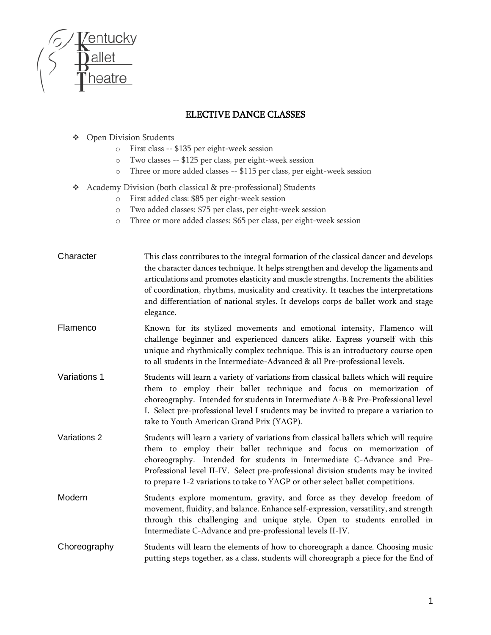

## ELECTIVE DANCE CLASSES

- ❖ Open Division Students
	- o First class -- \$135 per eight-week session
	- o Two classes -- \$125 per class, per eight-week session
	- o Three or more added classes -- \$115 per class, per eight-week session
- ❖ Academy Division (both classical & pre-professional) Students
	- o First added class: \$85 per eight-week session
	- o Two added classes: \$75 per class, per eight-week session
	- o Three or more added classes: \$65 per class, per eight-week session

| Character    | This class contributes to the integral formation of the classical dancer and develops<br>the character dances technique. It helps strengthen and develop the ligaments and<br>articulations and promotes elasticity and muscle strengths. Increments the abilities<br>of coordination, rhythms, musicality and creativity. It teaches the interpretations<br>and differentiation of national styles. It develops corps de ballet work and stage<br>elegance. |
|--------------|--------------------------------------------------------------------------------------------------------------------------------------------------------------------------------------------------------------------------------------------------------------------------------------------------------------------------------------------------------------------------------------------------------------------------------------------------------------|
| Flamenco     | Known for its stylized movements and emotional intensity, Flamenco will<br>challenge beginner and experienced dancers alike. Express yourself with this<br>unique and rhythmically complex technique. This is an introductory course open<br>to all students in the Intermediate-Advanced & all Pre-professional levels.                                                                                                                                     |
| Variations 1 | Students will learn a variety of variations from classical ballets which will require<br>them to employ their ballet technique and focus on memorization of<br>choreography. Intended for students in Intermediate A-B & Pre-Professional level<br>I. Select pre-professional level I students may be invited to prepare a variation to<br>take to Youth American Grand Prix (YAGP).                                                                         |
| Variations 2 | Students will learn a variety of variations from classical ballets which will require<br>them to employ their ballet technique and focus on memorization of<br>choreography. Intended for students in Intermediate C-Advance and Pre-<br>Professional level II-IV. Select pre-professional division students may be invited<br>to prepare 1-2 variations to take to YAGP or other select ballet competitions.                                                |
| Modern       | Students explore momentum, gravity, and force as they develop freedom of<br>movement, fluidity, and balance. Enhance self-expression, versatility, and strength<br>through this challenging and unique style. Open to students enrolled in<br>Intermediate C-Advance and pre-professional levels II-IV.                                                                                                                                                      |
| Choreography | Students will learn the elements of how to choreograph a dance. Choosing music<br>putting steps together, as a class, students will choreograph a piece for the End of                                                                                                                                                                                                                                                                                       |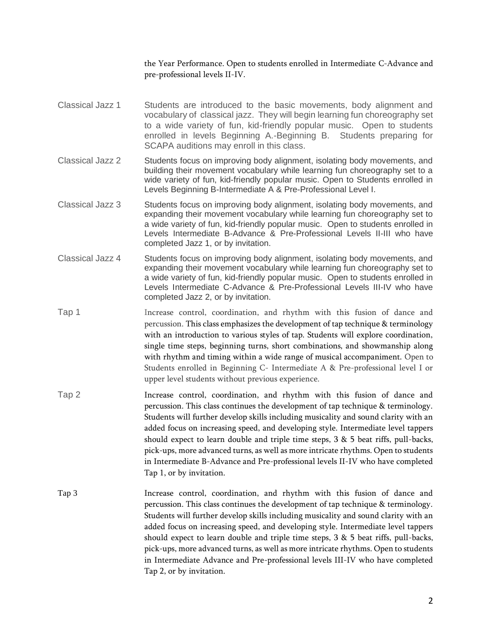the Year Performance. Open to students enrolled in Intermediate C-Advance and pre-professional levels II-IV.

- Classical Jazz 1 Students are introduced to the basic movements, body alignment and vocabulary of classical jazz. They will begin learning fun choreography set to a wide variety of fun, kid-friendly popular music. Open to students enrolled in levels Beginning A.-Beginning B. Students preparing for SCAPA auditions may enroll in this class.
- Classical Jazz 2 Students focus on improving body alignment, isolating body movements, and building their movement vocabulary while learning fun choreography set to a wide variety of fun, kid-friendly popular music. Open to Students enrolled in Levels Beginning B-Intermediate A & Pre-Professional Level I.
- Classical Jazz 3 Students focus on improving body alignment, isolating body movements, and expanding their movement vocabulary while learning fun choreography set to a wide variety of fun, kid-friendly popular music. Open to students enrolled in Levels Intermediate B-Advance & Pre-Professional Levels II-III who have completed Jazz 1, or by invitation.
- Classical Jazz 4 Students focus on improving body alignment, isolating body movements, and expanding their movement vocabulary while learning fun choreography set to a wide variety of fun, kid-friendly popular music. Open to students enrolled in Levels Intermediate C-Advance & Pre-Professional Levels III-IV who have completed Jazz 2, or by invitation.
- Tap 1 Increase control, coordination, and rhythm with this fusion of dance and percussion. This class emphasizes the development of tap technique & terminology with an introduction to various styles of tap. Students will explore coordination, single time steps, beginning turns, short combinations, and showmanship along with rhythm and timing within a wide range of musical accompaniment. Open to Students enrolled in Beginning C- Intermediate A & Pre-professional level I or upper level students without previous experience.
- Tap 2 Increase control, coordination, and rhythm with this fusion of dance and percussion. This class continues the development of tap technique & terminology. Students will further develop skills including musicality and sound clarity with an added focus on increasing speed, and developing style. Intermediate level tappers should expect to learn double and triple time steps, 3 & 5 beat riffs, pull-backs, pick-ups, more advanced turns, as well as more intricate rhythms. Open to students in Intermediate B-Advance and Pre-professional levels II-IV who have completed Tap 1, or by invitation.
- Tap 3 Increase control, coordination, and rhythm with this fusion of dance and percussion. This class continues the development of tap technique & terminology. Students will further develop skills including musicality and sound clarity with an added focus on increasing speed, and developing style. Intermediate level tappers should expect to learn double and triple time steps, 3 & 5 beat riffs, pull-backs, pick-ups, more advanced turns, as well as more intricate rhythms. Open to students in Intermediate Advance and Pre-professional levels III-IV who have completed Tap 2, or by invitation.